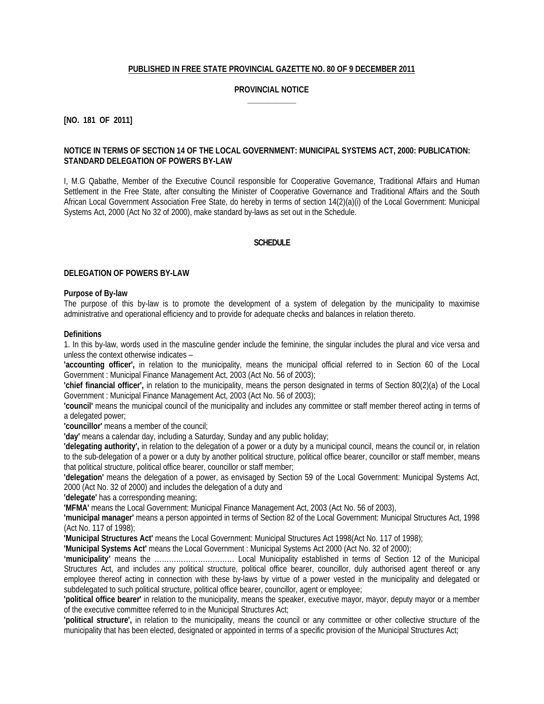## **PUBLISHED IN FREE STATE PROVINCIAL GAZETTE NO. 80 OF 9 DECEMBER 2011**

## **PROVINCIAL NOTICE \_\_\_\_\_\_\_\_\_\_\_\_**

**[NO. 181 OF 2011]**

#### **NOTICE IN TERMS OF SECTION 14 OF THE LOCAL GOVERNMENT: MUNICIPAL SYSTEMS ACT, 2000: PUBLICATION: STANDARD DELEGATION OF POWERS BY-LAW**

I, M.G Qabathe, Member of the Executive Council responsible for Cooperative Governance, Traditional Affairs and Human Settlement in the Free State, after consulting the Minister of Cooperative Governance and Traditional Affairs and the South African Local Government Association Free State, do hereby in terms of section 14(2)(a)(i) of the Local Government: Municipal Systems Act, 2000 (Act No 32 of 2000), make standard by-laws as set out in the Schedule.

#### **SCHEDULE**

#### **DELEGATION OF POWERS BY-LAW**

#### **Purpose of By-law**

The purpose of this by-law is to promote the development of a system of delegation by the municipality to maximise administrative and operational efficiency and to provide for adequate checks and balances in relation thereto.

#### **Definitions**

1. In this by-law, words used in the masculine gender include the feminine, the singular includes the plural and vice versa and unless the context otherwise indicates –

**'accounting officer',** in relation to the municipality, means the municipal official referred to in Section 60 of the Local Government : Municipal Finance Management Act, 2003 (Act No. 56 of 2003);

**'chief financial officer',** in relation to the municipality, means the person designated in terms of Section 80(2)(a) of the Local Government : Municipal Finance Management Act, 2003 (Act No. 56 of 2003);

**'council'** means the municipal council of the municipality and includes any committee or staff member thereof acting in terms of a delegated power;

**'councillor'** means a member of the council;

**'day'** means a calendar day, including a Saturday, Sunday and any public holiday;

**'delegating authority',** in relation to the delegation of a power or a duty by a municipal council, means the council or, in relation to the sub-delegation of a power or a duty by another political structure, political office bearer, councillor or staff member, means that political structure, political office bearer, councillor or staff member;

**'delegation'** means the delegation of a power, as envisaged by Section 59 of the Local Government: Municipal Systems Act, 2000 (Act No. 32 of 2000) and includes the delegation of a duty and

**'delegate'** has a corresponding meaning;

**'MFMA'** means the Local Government: Municipal Finance Management Act, 2003 (Act No. 56 of 2003),

**'municipal manager'** means a person appointed in terms of Section 82 of the Local Government: Municipal Structures Act, 1998 (Act No. 117 of 1998);

**'Municipal Structures Act'** means the Local Government: Municipal Structures Act 1998(Act No. 117 of 1998);

**'Municipal Systems Act'** means the Local Government : Municipal Systems Act 2000 (Act No. 32 of 2000);

**'municipality'** means the …………………………… Local Municipality established in terms of Section 12 of the Municipal Structures Act, and includes any political structure, political office bearer, councillor, duly authorised agent thereof or any employee thereof acting in connection with these by-laws by virtue of a power vested in the municipality and delegated or subdelegated to such political structure, political office bearer, councillor, agent or employee;

**'political office bearer'** in relation to the municipality, means the speaker, executive mayor, mayor, deputy mayor or a member of the executive committee referred to in the Municipal Structures Act;

**'political structure',** in relation to the municipality, means the council or any committee or other collective structure of the municipality that has been elected, designated or appointed in terms of a specific provision of the Municipal Structures Act;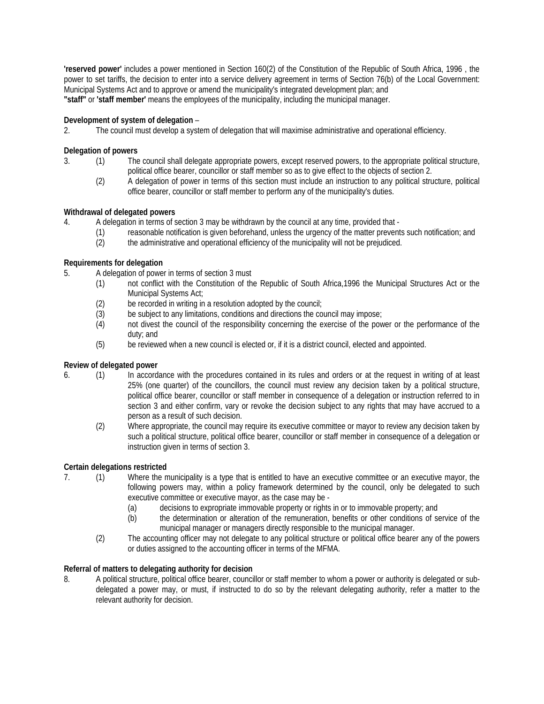**'reserved power'** includes a power mentioned in Section 160(2) of the Constitution of the Republic of South Africa, 1996 , the power to set tariffs, the decision to enter into a service delivery agreement in terms of Section 76(b) of the Local Government: Municipal Systems Act and to approve or amend the municipality's integrated development plan; and **"staff"** or **'staff member'** means the employees of the municipality, including the municipal manager.

# **Development of system of delegation** –

2. The council must develop a system of delegation that will maximise administrative and operational efficiency.

#### **Delegation of powers**

- 3. (1) The council shall delegate appropriate powers, except reserved powers, to the appropriate political structure, political office bearer, councillor or staff member so as to give effect to the objects of section 2.
	- (2) A delegation of power in terms of this section must include an instruction to any political structure, political office bearer, councillor or staff member to perform any of the municipality's duties.

## **Withdrawal of delegated powers**

4. A delegation in terms of section 3 may be withdrawn by the council at any time, provided that -

- (1) reasonable notification is given beforehand, unless the urgency of the matter prevents such notification; and
- (2) the administrative and operational efficiency of the municipality will not be prejudiced.

## **Requirements for delegation**

- 5. A delegation of power in terms of section 3 must
	- (1) not conflict with the Constitution of the Republic of South Africa,1996 the Municipal Structures Act or the Municipal Systems Act;
	- (2) be recorded in writing in a resolution adopted by the council;<br>(3) be subject to any limitations, conditions and directions the co
	- be subject to any limitations, conditions and directions the council may impose;
	- (4) not divest the council of the responsibility concerning the exercise of the power or the performance of the duty; and
	- (5) be reviewed when a new council is elected or, if it is a district council, elected and appointed.

## **Review of delegated power**

- 6. (1) In accordance with the procedures contained in its rules and orders or at the request in writing of at least 25% (one quarter) of the councillors, the council must review any decision taken by a political structure, political office bearer, councillor or staff member in consequence of a delegation or instruction referred to in section 3 and either confirm, vary or revoke the decision subject to any rights that may have accrued to a person as a result of such decision.
	- (2) Where appropriate, the council may require its executive committee or mayor to review any decision taken by such a political structure, political office bearer, councillor or staff member in consequence of a delegation or instruction given in terms of section 3.

## **Certain delegations restricted**

- 7. (1) Where the municipality is a type that is entitled to have an executive committee or an executive mayor, the following powers may, within a policy framework determined by the council, only be delegated to such executive committee or executive mayor, as the case may be -
	- (a) decisions to expropriate immovable property or rights in or to immovable property; and
	- (b) the determination or alteration of the remuneration, benefits or other conditions of service of the municipal manager or managers directly responsible to the municipal manager.
	- (2) The accounting officer may not delegate to any political structure or political office bearer any of the powers or duties assigned to the accounting officer in terms of the MFMA.

## **Referral of matters to delegating authority for decision**

8. A political structure, political office bearer, councillor or staff member to whom a power or authority is delegated or subdelegated a power may, or must, if instructed to do so by the relevant delegating authority, refer a matter to the relevant authority for decision.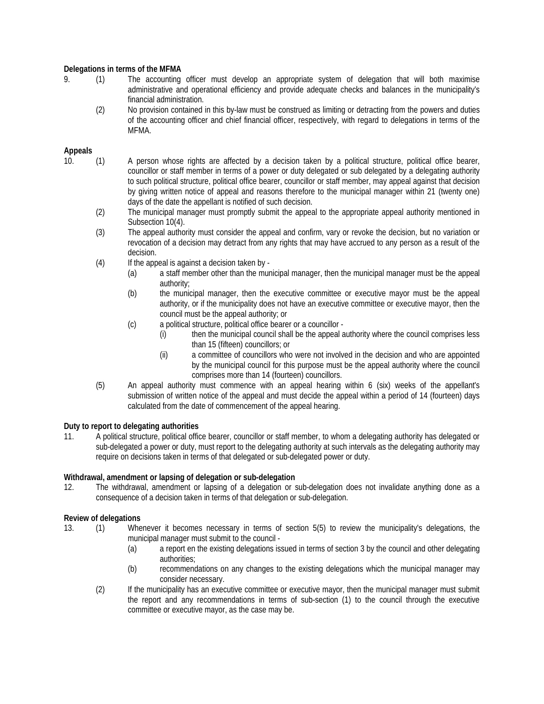# **Delegations in terms of the MFMA**

- 9. (1) The accounting officer must develop an appropriate system of delegation that will both maximise administrative and operational efficiency and provide adequate checks and balances in the municipality's financial administration.
	- (2) No provision contained in this by-law must be construed as limiting or detracting from the powers and duties of the accounting officer and chief financial officer, respectively, with regard to delegations in terms of the MFMA.

## **Appeals**

- 10. (1) A person whose rights are affected by a decision taken by a political structure, political office bearer, councillor or staff member in terms of a power or duty delegated or sub delegated by a delegating authority to such political structure, political office bearer, councillor or staff member, may appeal against that decision by giving written notice of appeal and reasons therefore to the municipal manager within 21 (twenty one) days of the date the appellant is notified of such decision.
	- (2) The municipal manager must promptly submit the appeal to the appropriate appeal authority mentioned in Subsection 10(4).
	- (3) The appeal authority must consider the appeal and confirm, vary or revoke the decision, but no variation or revocation of a decision may detract from any rights that may have accrued to any person as a result of the decision.
	- (4) If the appeal is against a decision taken by
		- (a) a staff member other than the municipal manager, then the municipal manager must be the appeal authority;
		- (b) the municipal manager, then the executive committee or executive mayor must be the appeal authority, or if the municipality does not have an executive committee or executive mayor, then the council must be the appeal authority; or
		- (c) a political structure, political office bearer or a councillor
			- (i) then the municipal council shall be the appeal authority where the council comprises less than 15 (fifteen) councillors; or
			- (ii) a committee of councillors who were not involved in the decision and who are appointed by the municipal council for this purpose must be the appeal authority where the council comprises more than 14 (fourteen) councillors.
	- (5) An appeal authority must commence with an appeal hearing within 6 (six) weeks of the appellant's submission of written notice of the appeal and must decide the appeal within a period of 14 (fourteen) days calculated from the date of commencement of the appeal hearing.

## **Duty to report to delegating authorities**

11. A political structure, political office bearer, councillor or staff member, to whom a delegating authority has delegated or sub-delegated a power or duty, must report to the delegating authority at such intervals as the delegating authority may require on decisions taken in terms of that delegated or sub-delegated power or duty.

## **Withdrawal, amendment or lapsing of delegation or sub-delegation**

12. The withdrawal, amendment or lapsing of a delegation or sub-delegation does not invalidate anything done as a consequence of a decision taken in terms of that delegation or sub-delegation.

## **Review of delegations**

- 13. (1) Whenever it becomes necessary in terms of section 5(5) to review the municipality's delegations, the municipal manager must submit to the council -
	- (a) a report en the existing delegations issued in terms of section 3 by the council and other delegating authorities;
	- (b) recommendations on any changes to the existing delegations which the municipal manager may consider necessary.
	- (2) If the municipality has an executive committee or executive mayor, then the municipal manager must submit the report and any recommendations in terms of sub-section (1) to the council through the executive committee or executive mayor, as the case may be.